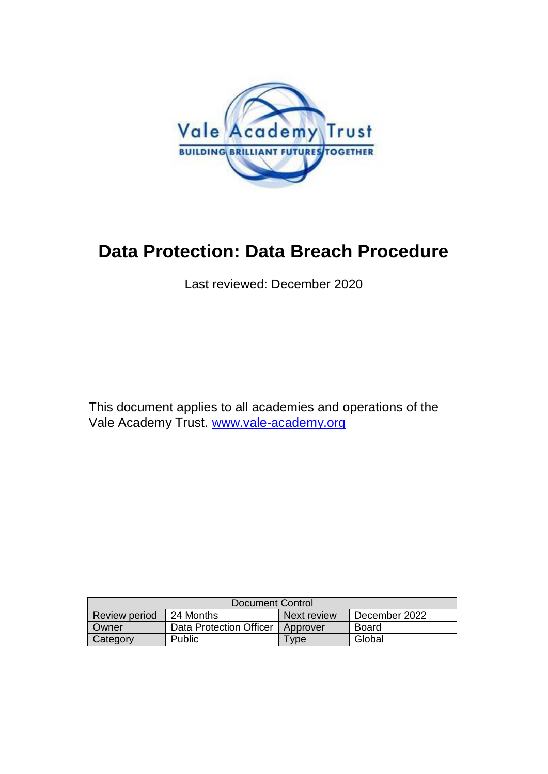

## **Data Protection: Data Breach Procedure**

Last reviewed: December 2020

This document applies to all academies and operations of the Vale Academy Trust. [www.vale-academy.org](http://www.vale-academy.org/)

| Document Control     |                         |             |               |
|----------------------|-------------------------|-------------|---------------|
| <b>Review period</b> | 24 Months               | Next review | December 2022 |
| Owner                | Data Protection Officer | Approver    | Board         |
| Category             | Public                  | <b>Type</b> | Global        |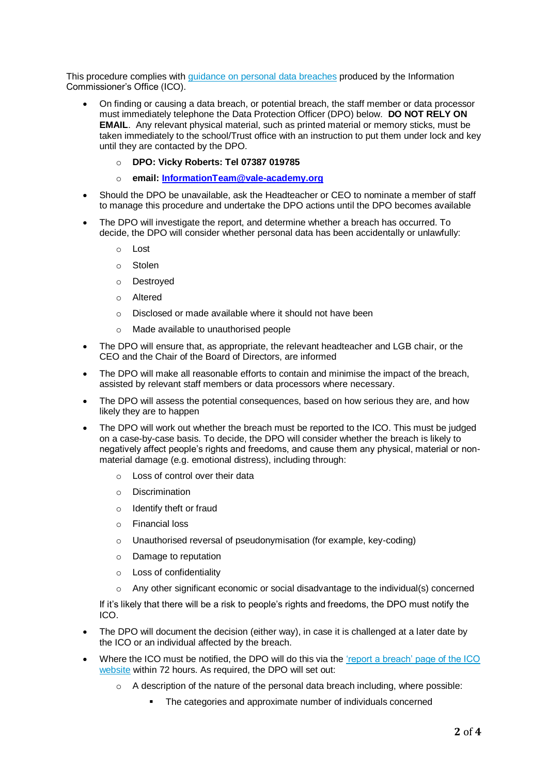This procedure complies with [guidance on personal data breaches](https://ico.org.uk/for-organisations/guide-to-the-general-data-protection-regulation-gdpr/personal-data-breaches/) produced by the Information Commissioner's Office (ICO).

- On finding or causing a data breach, or potential breach, the staff member or data processor must immediately telephone the Data Protection Officer (DPO) below. **DO NOT RELY ON EMAIL**. Any relevant physical material, such as printed material or memory sticks, must be taken immediately to the school/Trust office with an instruction to put them under lock and key until they are contacted by the DPO.
	- o **DPO: Vicky Roberts: Tel 07387 019785**
	- o **email[: InformationTeam@vale-academy.org](mailto:InformationTeam@vale-academy.org)**
- Should the DPO be unavailable, ask the Headteacher or CEO to nominate a member of staff to manage this procedure and undertake the DPO actions until the DPO becomes available
- The DPO will investigate the report, and determine whether a breach has occurred. To decide, the DPO will consider whether personal data has been accidentally or unlawfully:
	- $\sim$  Lost
	- o Stolen
	- o Destroyed
	- o Altered
	- o Disclosed or made available where it should not have been
	- o Made available to unauthorised people
- The DPO will ensure that, as appropriate, the relevant headteacher and LGB chair, or the CEO and the Chair of the Board of Directors, are informed
- The DPO will make all reasonable efforts to contain and minimise the impact of the breach, assisted by relevant staff members or data processors where necessary.
- The DPO will assess the potential consequences, based on how serious they are, and how likely they are to happen
- The DPO will work out whether the breach must be reported to the ICO. This must be judged on a case-by-case basis. To decide, the DPO will consider whether the breach is likely to negatively affect people's rights and freedoms, and cause them any physical, material or nonmaterial damage (e.g. emotional distress), including through:
	- o Loss of control over their data
	- o Discrimination
	- o Identify theft or fraud
	- o Financial loss
	- o Unauthorised reversal of pseudonymisation (for example, key-coding)
	- o Damage to reputation
	- o Loss of confidentiality
	- $\circ$  Any other significant economic or social disadvantage to the individual(s) concerned

If it's likely that there will be a risk to people's rights and freedoms, the DPO must notify the ICO.

- The DPO will document the decision (either way), in case it is challenged at a later date by the ICO or an individual affected by the breach.
- Where the ICO must be notified, the DPO will do this via the 'report a breach' page of the ICO [website](https://ico.org.uk/for-organisations/report-a-breach/) within 72 hours. As required, the DPO will set out:
	- $\circ$  A description of the nature of the personal data breach including, where possible:
		- The categories and approximate number of individuals concerned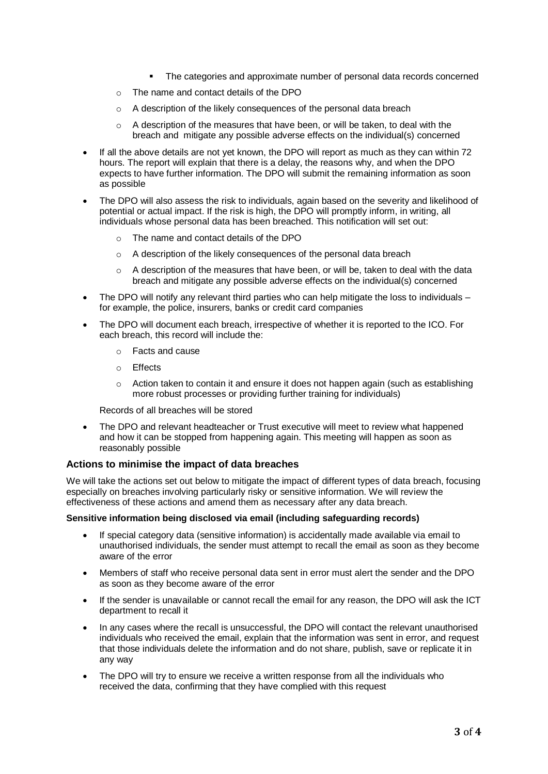- The categories and approximate number of personal data records concerned
- o The name and contact details of the DPO
- o A description of the likely consequences of the personal data breach
- $\circ$  A description of the measures that have been, or will be taken, to deal with the breach and mitigate any possible adverse effects on the individual(s) concerned
- If all the above details are not yet known, the DPO will report as much as they can within 72 hours. The report will explain that there is a delay, the reasons why, and when the DPO expects to have further information. The DPO will submit the remaining information as soon as possible
- The DPO will also assess the risk to individuals, again based on the severity and likelihood of potential or actual impact. If the risk is high, the DPO will promptly inform, in writing, all individuals whose personal data has been breached. This notification will set out:
	- o The name and contact details of the DPO
	- o A description of the likely consequences of the personal data breach
	- $\circ$  A description of the measures that have been, or will be, taken to deal with the data breach and mitigate any possible adverse effects on the individual(s) concerned
- The DPO will notify any relevant third parties who can help mitigate the loss to individuals for example, the police, insurers, banks or credit card companies
- The DPO will document each breach, irrespective of whether it is reported to the ICO. For each breach, this record will include the:
	- o Facts and cause
	- o Effects
	- $\circ$  Action taken to contain it and ensure it does not happen again (such as establishing more robust processes or providing further training for individuals)

Records of all breaches will be stored

• The DPO and relevant headteacher or Trust executive will meet to review what happened and how it can be stopped from happening again. This meeting will happen as soon as reasonably possible

## **Actions to minimise the impact of data breaches**

We will take the actions set out below to mitigate the impact of different types of data breach, focusing especially on breaches involving particularly risky or sensitive information. We will review the effectiveness of these actions and amend them as necessary after any data breach.

## **Sensitive information being disclosed via email (including safeguarding records)**

- If special category data (sensitive information) is accidentally made available via email to unauthorised individuals, the sender must attempt to recall the email as soon as they become aware of the error
- Members of staff who receive personal data sent in error must alert the sender and the DPO as soon as they become aware of the error
- If the sender is unavailable or cannot recall the email for any reason, the DPO will ask the ICT department to recall it
- In any cases where the recall is unsuccessful, the DPO will contact the relevant unauthorised individuals who received the email, explain that the information was sent in error, and request that those individuals delete the information and do not share, publish, save or replicate it in any way
- The DPO will try to ensure we receive a written response from all the individuals who received the data, confirming that they have complied with this request